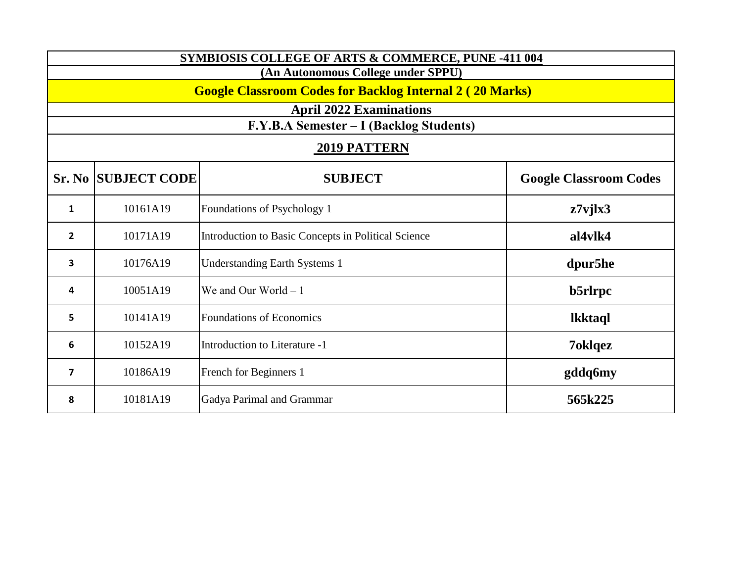| <b>SYMBIOSIS COLLEGE OF ARTS &amp; COMMERCE, PUNE -411 004</b>  |                                    |                                                     |                               |  |
|-----------------------------------------------------------------|------------------------------------|-----------------------------------------------------|-------------------------------|--|
|                                                                 | (An Autonomous College under SPPU) |                                                     |                               |  |
| <b>Google Classroom Codes for Backlog Internal 2 (20 Marks)</b> |                                    |                                                     |                               |  |
|                                                                 |                                    | <b>April 2022 Examinations</b>                      |                               |  |
|                                                                 |                                    | F.Y.B.A Semester - I (Backlog Students)             |                               |  |
|                                                                 |                                    | 2019 PATTERN                                        |                               |  |
|                                                                 | <b>Sr. No SUBJECT CODE</b>         | <b>SUBJECT</b>                                      | <b>Google Classroom Codes</b> |  |
| $\mathbf{1}$                                                    | 10161A19                           | Foundations of Psychology 1                         | $z7$ vj $lx3$                 |  |
| $\overline{2}$                                                  | 10171A19                           | Introduction to Basic Concepts in Political Science | al4vlk4                       |  |
| 3                                                               | 10176A19                           | <b>Understanding Earth Systems 1</b>                | dpur5he                       |  |
| 4                                                               | 10051A19                           | We and Our World $-1$                               | b5rlrpc                       |  |
| 5                                                               | 10141A19                           | <b>Foundations of Economics</b>                     | <b>lkktaql</b>                |  |
| 6                                                               | 10152A19                           | Introduction to Literature -1                       | 7oklqez                       |  |
| $\overline{7}$                                                  | 10186A19                           | French for Beginners 1                              | gddq6my                       |  |
| 8                                                               | 10181A19                           | Gadya Parimal and Grammar                           | 565k225                       |  |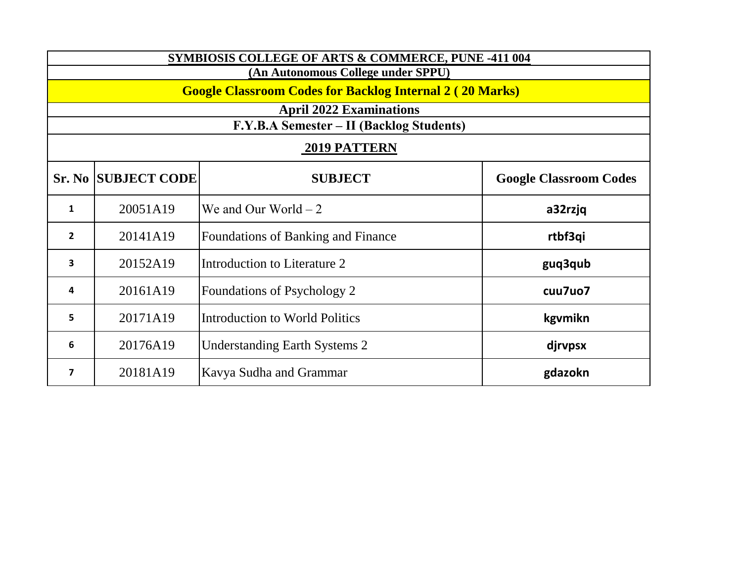| SYMBIOSIS COLLEGE OF ARTS & COMMERCE, PUNE -411 004             |                                    |                                           |                               |  |
|-----------------------------------------------------------------|------------------------------------|-------------------------------------------|-------------------------------|--|
|                                                                 | (An Autonomous College under SPPU) |                                           |                               |  |
| <b>Google Classroom Codes for Backlog Internal 2 (20 Marks)</b> |                                    |                                           |                               |  |
|                                                                 |                                    | <b>April 2022 Examinations</b>            |                               |  |
|                                                                 |                                    | F.Y.B.A Semester – II (Backlog Students)  |                               |  |
| <b>2019 PATTERN</b>                                             |                                    |                                           |                               |  |
|                                                                 | <b>Sr. No SUBJECT CODE</b>         | <b>SUBJECT</b>                            | <b>Google Classroom Codes</b> |  |
| $\mathbf{1}$                                                    | 20051A19                           | We and Our World $-2$                     | a32rzjq                       |  |
| $\overline{2}$                                                  | 20141A19                           | <b>Foundations of Banking and Finance</b> | rtbf3qi                       |  |
| 3                                                               | 20152A19                           | Introduction to Literature 2              | guq3qub                       |  |
| 4                                                               | 20161A19                           | Foundations of Psychology 2               | cuu7uo7                       |  |
| 5.                                                              | 20171A19                           | Introduction to World Politics            | kgymikn                       |  |
| 6                                                               | 20176A19                           | <b>Understanding Earth Systems 2</b>      | djrvpsx                       |  |
| 7                                                               | 20181A19                           | Kavya Sudha and Grammar                   | gdazokn                       |  |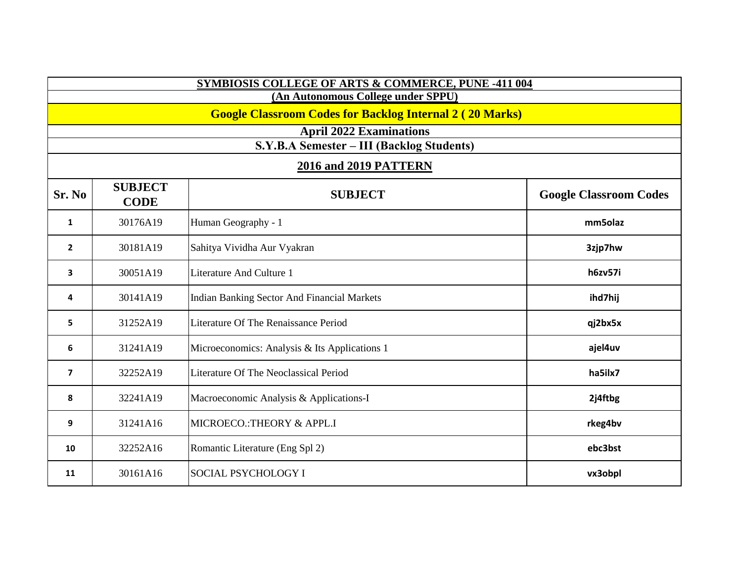| SYMBIOSIS COLLEGE OF ARTS & COMMERCE, PUNE -411 004             |                               |                                               |                               |
|-----------------------------------------------------------------|-------------------------------|-----------------------------------------------|-------------------------------|
| (An Autonomous College under SPPU)                              |                               |                                               |                               |
| <b>Google Classroom Codes for Backlog Internal 2 (20 Marks)</b> |                               |                                               |                               |
|                                                                 |                               | <b>April 2022 Examinations</b>                |                               |
|                                                                 |                               | S.Y.B.A Semester - III (Backlog Students)     |                               |
|                                                                 |                               | <b>2016 and 2019 PATTERN</b>                  |                               |
| Sr. No                                                          | <b>SUBJECT</b><br><b>CODE</b> | <b>SUBJECT</b>                                | <b>Google Classroom Codes</b> |
| 1                                                               | 30176A19                      | Human Geography - 1                           | mm5olaz                       |
| $\overline{2}$                                                  | 30181A19                      | Sahitya Vividha Aur Vyakran                   | 3zjp7hw                       |
| 3                                                               | 30051A19                      | Literature And Culture 1                      | h6zv57i                       |
| 4                                                               | 30141A19                      | Indian Banking Sector And Financial Markets   | ihd7hij                       |
| 5                                                               | 31252A19                      | Literature Of The Renaissance Period          | qj2bx5x                       |
| 6                                                               | 31241A19                      | Microeconomics: Analysis & Its Applications 1 | ajel4uv                       |
| $\overline{\mathbf{z}}$                                         | 32252A19                      | Literature Of The Neoclassical Period         | ha5ilx7                       |
| 8                                                               | 32241A19                      | Macroeconomic Analysis & Applications-I       | 2j4ftbg                       |
| 9                                                               | 31241A16                      | MICROECO.: THEORY & APPL.I                    | rkeg4bv                       |
| 10                                                              | 32252A16                      | Romantic Literature (Eng Spl 2)               | ebc3bst                       |
| 11                                                              | 30161A16                      | <b>SOCIAL PSYCHOLOGY I</b>                    | vx3obpl                       |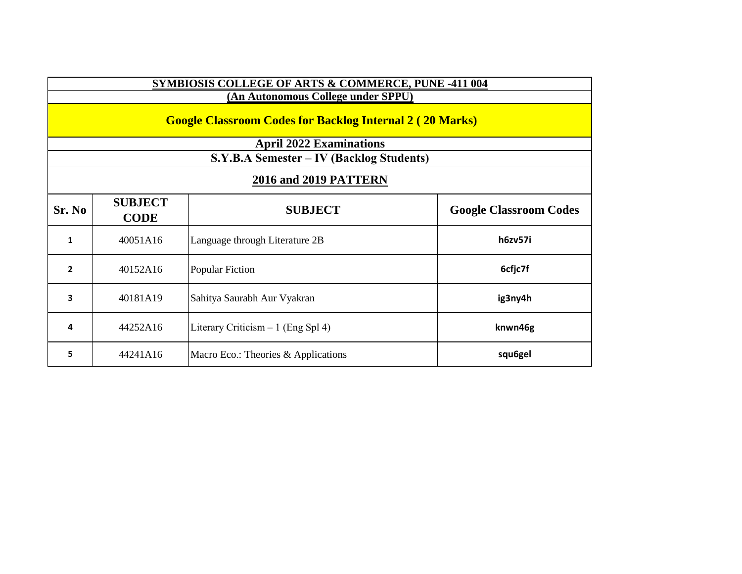| SYMBIOSIS COLLEGE OF ARTS & COMMERCE, PUNE -411 004             |                                    |                                          |                               |  |
|-----------------------------------------------------------------|------------------------------------|------------------------------------------|-------------------------------|--|
|                                                                 | (An Autonomous College under SPPU) |                                          |                               |  |
| <b>Google Classroom Codes for Backlog Internal 2 (20 Marks)</b> |                                    |                                          |                               |  |
|                                                                 |                                    | <b>April 2022 Examinations</b>           |                               |  |
|                                                                 |                                    | S.Y.B.A Semester – IV (Backlog Students) |                               |  |
| <b>2016 and 2019 PATTERN</b>                                    |                                    |                                          |                               |  |
| Sr. No                                                          | <b>SUBJECT</b><br><b>CODE</b>      | <b>SUBJECT</b>                           | <b>Google Classroom Codes</b> |  |
| 1                                                               | 40051A16                           | Language through Literature 2B           | h6zv57i                       |  |
| $\overline{2}$                                                  | 40152A16                           | <b>Popular Fiction</b>                   | 6cfjc7f                       |  |
| 3                                                               | 40181A19                           | Sahitya Saurabh Aur Vyakran              | ig3ny4h                       |  |
| 4                                                               | 44252A16                           | Literary Criticism $-1$ (Eng Spl 4)      | knwn46g                       |  |
| 5                                                               | 44241A16                           | Macro Eco.: Theories & Applications      | squ6gel                       |  |